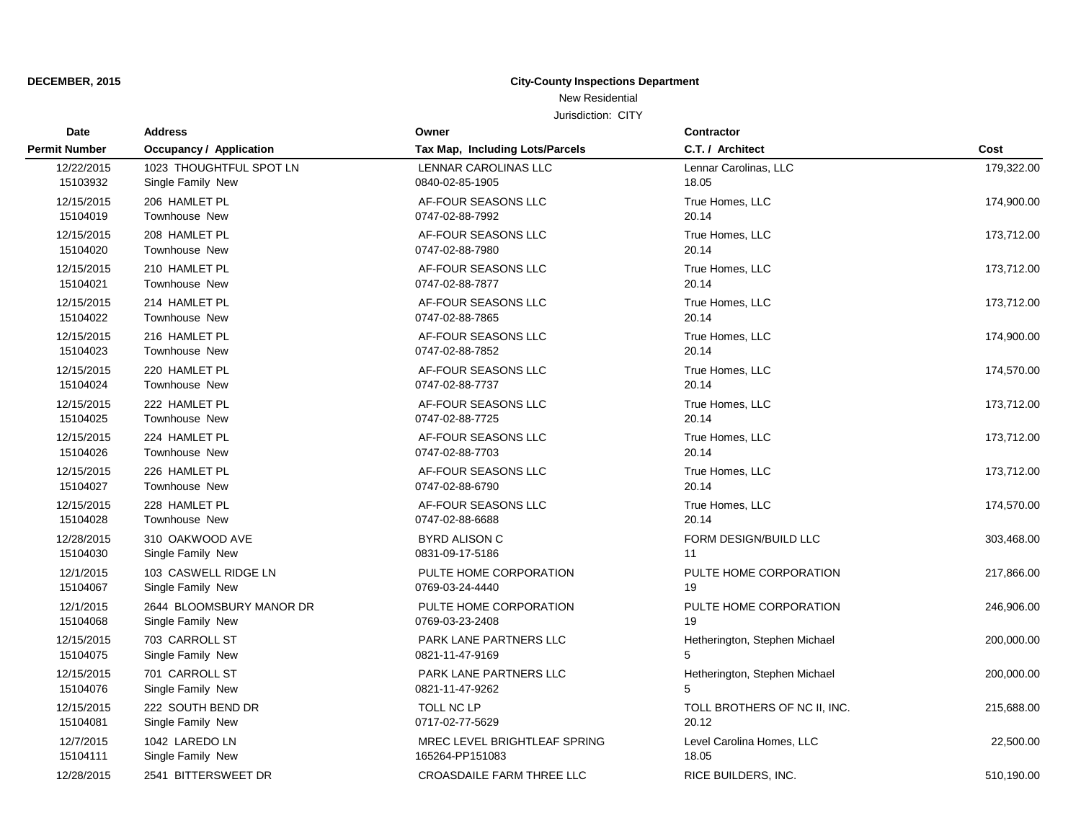### **DECEMBER, 2015 City-County Inspections Department**

### New Residential

| Date                 | <b>Address</b>                 | Owner                            | Contractor                    |            |
|----------------------|--------------------------------|----------------------------------|-------------------------------|------------|
| <b>Permit Number</b> | <b>Occupancy / Application</b> | Tax Map, Including Lots/Parcels  | C.T. / Architect              | Cost       |
| 12/22/2015           | 1023 THOUGHTFUL SPOT LN        | LENNAR CAROLINAS LLC             | Lennar Carolinas, LLC         | 179,322.00 |
| 15103932             | Single Family New              | 0840-02-85-1905                  | 18.05                         |            |
| 12/15/2015           | 206 HAMLET PL                  | AF-FOUR SEASONS LLC              | True Homes, LLC               | 174,900.00 |
| 15104019             | <b>Townhouse New</b>           | 0747-02-88-7992                  | 20.14                         |            |
| 12/15/2015           | 208 HAMLET PL                  | AF-FOUR SEASONS LLC              | True Homes, LLC               | 173,712.00 |
| 15104020             | Townhouse New                  | 0747-02-88-7980                  | 20.14                         |            |
| 12/15/2015           | 210 HAMLET PL                  | AF-FOUR SEASONS LLC              | True Homes, LLC               | 173,712.00 |
| 15104021             | Townhouse New                  | 0747-02-88-7877                  | 20.14                         |            |
| 12/15/2015           | 214 HAMLET PL                  | AF-FOUR SEASONS LLC              | True Homes, LLC               | 173,712.00 |
| 15104022             | <b>Townhouse New</b>           | 0747-02-88-7865                  | 20.14                         |            |
| 12/15/2015           | 216 HAMLET PL                  | AF-FOUR SEASONS LLC              | True Homes, LLC               | 174,900.00 |
| 15104023             | <b>Townhouse New</b>           | 0747-02-88-7852                  | 20.14                         |            |
| 12/15/2015           | 220 HAMLET PL                  | AF-FOUR SEASONS LLC              | True Homes, LLC               | 174,570.00 |
| 15104024             | Townhouse New                  | 0747-02-88-7737                  | 20.14                         |            |
| 12/15/2015           | 222 HAMLET PL                  | AF-FOUR SEASONS LLC              | True Homes, LLC               | 173,712.00 |
| 15104025             | Townhouse New                  | 0747-02-88-7725                  | 20.14                         |            |
| 12/15/2015           | 224 HAMLET PL                  | AF-FOUR SEASONS LLC              | True Homes, LLC               | 173,712.00 |
| 15104026             | <b>Townhouse New</b>           | 0747-02-88-7703                  | 20.14                         |            |
| 12/15/2015           | 226 HAMLET PL                  | AF-FOUR SEASONS LLC              | True Homes, LLC               | 173,712.00 |
| 15104027             | Townhouse New                  | 0747-02-88-6790                  | 20.14                         |            |
| 12/15/2015           | 228 HAMLET PL                  | AF-FOUR SEASONS LLC              | True Homes, LLC               | 174,570.00 |
| 15104028             | Townhouse New                  | 0747-02-88-6688                  | 20.14                         |            |
| 12/28/2015           | 310 OAKWOOD AVE                | <b>BYRD ALISON C</b>             | FORM DESIGN/BUILD LLC         | 303,468.00 |
| 15104030             | Single Family New              | 0831-09-17-5186                  | 11                            |            |
| 12/1/2015            | 103 CASWELL RIDGE LN           | PULTE HOME CORPORATION           | PULTE HOME CORPORATION        | 217,866.00 |
| 15104067             | Single Family New              | 0769-03-24-4440                  | 19                            |            |
| 12/1/2015            | 2644 BLOOMSBURY MANOR DR       | PULTE HOME CORPORATION           | PULTE HOME CORPORATION        | 246,906.00 |
| 15104068             | Single Family New              | 0769-03-23-2408                  | 19                            |            |
| 12/15/2015           | 703 CARROLL ST                 | PARK LANE PARTNERS LLC           | Hetherington, Stephen Michael | 200,000.00 |
| 15104075             | Single Family New              | 0821-11-47-9169                  | 5                             |            |
| 12/15/2015           | 701 CARROLL ST                 | <b>PARK LANE PARTNERS LLC</b>    | Hetherington, Stephen Michael | 200,000.00 |
| 15104076             | Single Family New              | 0821-11-47-9262                  | 5                             |            |
| 12/15/2015           | 222 SOUTH BEND DR              | TOLL NC LP                       | TOLL BROTHERS OF NC II, INC.  | 215,688.00 |
| 15104081             | Single Family New              | 0717-02-77-5629                  | 20.12                         |            |
| 12/7/2015            | 1042 LAREDO LN                 | MREC LEVEL BRIGHTLEAF SPRING     | Level Carolina Homes, LLC     | 22,500.00  |
| 15104111             | Single Family New              | 165264-PP151083                  | 18.05                         |            |
| 12/28/2015           | 2541 BITTERSWEET DR            | <b>CROASDAILE FARM THREE LLC</b> | RICE BUILDERS, INC.           | 510,190.00 |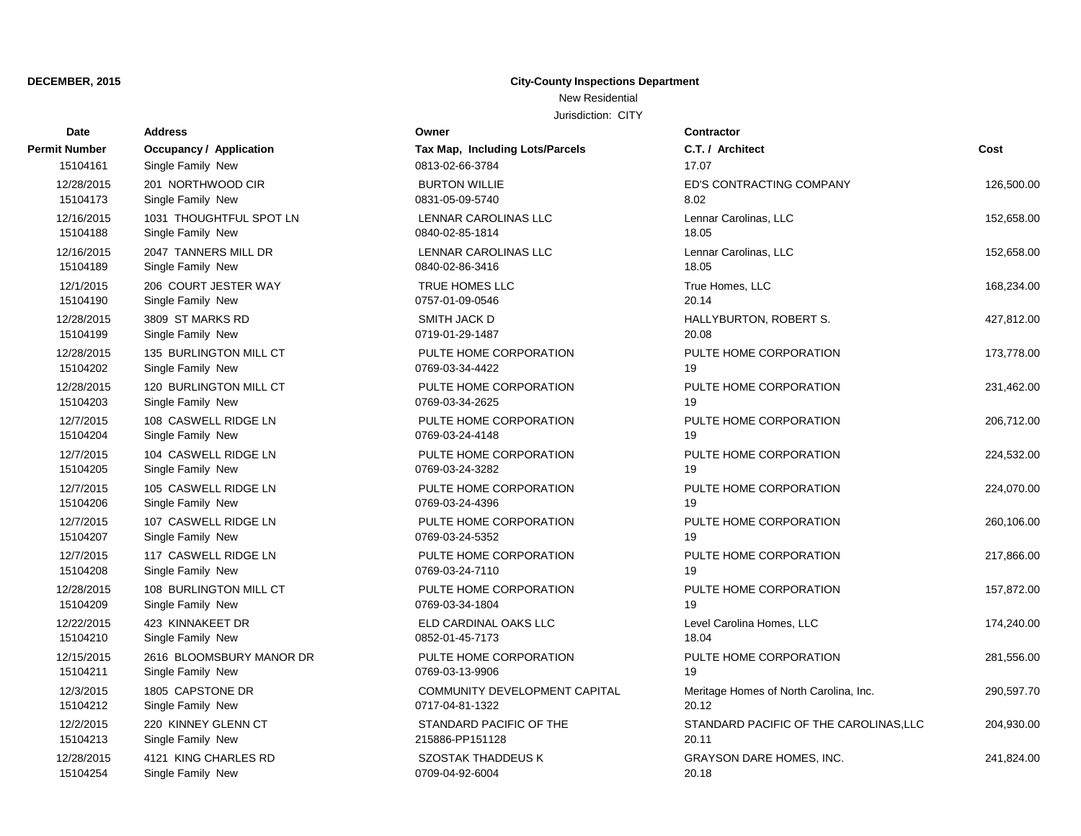# **DECEMBER, 2015 City-County Inspections Department**

New Residential

| Date          | <b>Address</b>                 | Owner                           | <b>Contractor</b>                      |            |
|---------------|--------------------------------|---------------------------------|----------------------------------------|------------|
| Permit Number | <b>Occupancy / Application</b> | Tax Map, Including Lots/Parcels | C.T. / Architect                       | Cost       |
| 15104161      | Single Family New              | 0813-02-66-3784                 | 17.07                                  |            |
| 12/28/2015    | 201 NORTHWOOD CIR              | <b>BURTON WILLIE</b>            | ED'S CONTRACTING COMPANY               | 126,500.00 |
| 15104173      | Single Family New              | 0831-05-09-5740                 | 8.02                                   |            |
| 12/16/2015    | 1031 THOUGHTFUL SPOT LN        | LENNAR CAROLINAS LLC            | Lennar Carolinas, LLC                  | 152,658.00 |
| 15104188      | Single Family New              | 0840-02-85-1814                 | 18.05                                  |            |
| 12/16/2015    | 2047 TANNERS MILL DR           | LENNAR CAROLINAS LLC            | Lennar Carolinas, LLC                  | 152,658.00 |
| 15104189      | Single Family New              | 0840-02-86-3416                 | 18.05                                  |            |
| 12/1/2015     | 206 COURT JESTER WAY           | TRUE HOMES LLC                  | True Homes, LLC                        | 168,234.00 |
| 15104190      | Single Family New              | 0757-01-09-0546                 | 20.14                                  |            |
| 12/28/2015    | 3809 ST MARKS RD               | <b>SMITH JACK D</b>             | HALLYBURTON, ROBERT S.                 | 427,812.00 |
| 15104199      | Single Family New              | 0719-01-29-1487                 | 20.08                                  |            |
| 12/28/2015    | 135 BURLINGTON MILL CT         | PULTE HOME CORPORATION          | PULTE HOME CORPORATION                 | 173,778.00 |
| 15104202      | Single Family New              | 0769-03-34-4422                 | 19                                     |            |
| 12/28/2015    | 120 BURLINGTON MILL CT         | PULTE HOME CORPORATION          | PULTE HOME CORPORATION                 | 231,462.00 |
| 15104203      | Single Family New              | 0769-03-34-2625                 | 19                                     |            |
| 12/7/2015     | 108 CASWELL RIDGE LN           | PULTE HOME CORPORATION          | PULTE HOME CORPORATION                 | 206,712.00 |
| 15104204      | Single Family New              | 0769-03-24-4148                 | 19                                     |            |
| 12/7/2015     | 104 CASWELL RIDGE LN           | PULTE HOME CORPORATION          | PULTE HOME CORPORATION                 | 224,532.00 |
| 15104205      | Single Family New              | 0769-03-24-3282                 | 19                                     |            |
| 12/7/2015     | 105 CASWELL RIDGE LN           | PULTE HOME CORPORATION          | PULTE HOME CORPORATION                 | 224,070.00 |
| 15104206      | Single Family New              | 0769-03-24-4396                 | 19                                     |            |
| 12/7/2015     | 107 CASWELL RIDGE LN           | PULTE HOME CORPORATION          | PULTE HOME CORPORATION                 | 260,106.00 |
| 15104207      | Single Family New              | 0769-03-24-5352                 | 19                                     |            |
| 12/7/2015     | 117 CASWELL RIDGE LN           | PULTE HOME CORPORATION          | PULTE HOME CORPORATION                 | 217,866.00 |
| 15104208      | Single Family New              | 0769-03-24-7110                 | 19                                     |            |
| 12/28/2015    | 108 BURLINGTON MILL CT         | PULTE HOME CORPORATION          | PULTE HOME CORPORATION                 | 157,872.00 |
| 15104209      | Single Family New              | 0769-03-34-1804                 | 19                                     |            |
| 12/22/2015    | 423 KINNAKEET DR               | ELD CARDINAL OAKS LLC           | Level Carolina Homes, LLC              | 174,240.00 |
| 15104210      | Single Family New              | 0852-01-45-7173                 | 18.04                                  |            |
| 12/15/2015    | 2616 BLOOMSBURY MANOR DR       | PULTE HOME CORPORATION          | PULTE HOME CORPORATION                 | 281,556.00 |
| 15104211      | Single Family New              | 0769-03-13-9906                 | 19                                     |            |
| 12/3/2015     | 1805 CAPSTONE DR               | COMMUNITY DEVELOPMENT CAPITAL   | Meritage Homes of North Carolina, Inc. | 290,597.70 |
| 15104212      | Single Family New              | 0717-04-81-1322                 | 20.12                                  |            |
| 12/2/2015     | 220 KINNEY GLENN CT            | STANDARD PACIFIC OF THE         | STANDARD PACIFIC OF THE CAROLINAS, LLC | 204,930.00 |
| 15104213      | Single Family New              | 215886-PP151128                 | 20.11                                  |            |
| 12/28/2015    | 4121 KING CHARLES RD           | <b>SZOSTAK THADDEUS K</b>       | <b>GRAYSON DARE HOMES, INC.</b>        | 241,824.00 |
| 15104254      | Single Family New              | 0709-04-92-6004                 | 20.18                                  |            |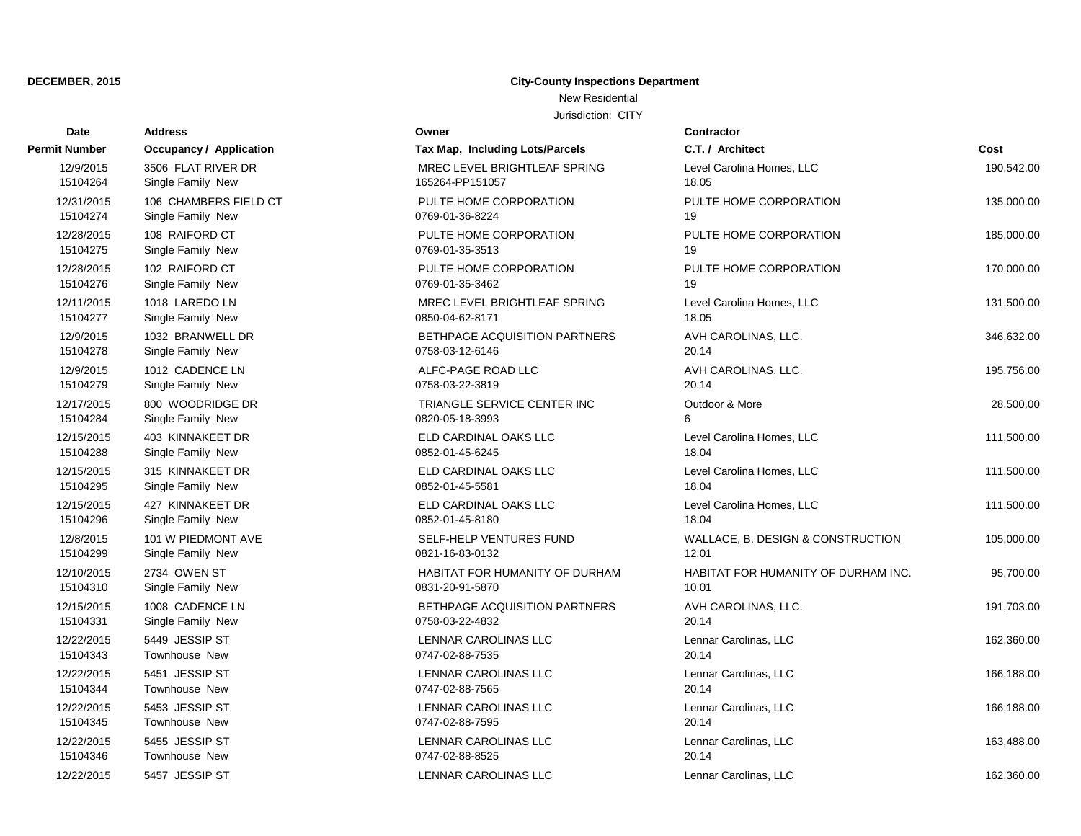# **Date Contractor Address Owner Permit Number Occupancy / Application Tax Map, Including Lots** 15104264 Single Family New 165264-PP151057 15104274 Single Family New 2012 10:00 0769-01-36-8224 15104275 Single Family New 0769-01-35-3513 15104276 Single Family New 2012 10:00 0769-01-35-3462 15104277 Single Family New 20050-04-62-8171 15104278 Single Family New 20158-03-12-6146 15104279 Single Family New 20158-03-22-3819 15104284 Single Family New 0820-05-18-3993 15104288 Single Family New 0852-01-45-6245 15104295 Single Family New 200852-01-45-5581 15104296 Single Family New 20052-01-45-8180 15104299 Single Family New 0821-16-83-0132 15104310 Single Family New 0831-20-91-5870 15104331 Single Family New 2012 2021 2022-4832 15104343 Townhouse New 2001 15104343 Townhouse New 2014 15104344 Townhouse New 2012 10:00 0747-02-88-7565 15104345 Townhouse New 2012 10:00 0747-02-88-7595 15104346 Townhouse New 2012 10:00 0747-02-88-8525

### **DECEMBER, 2015 City-County Inspections Department**

New Residential

| υαισ                   |                                       |                                                |                                     |            |
|------------------------|---------------------------------------|------------------------------------------------|-------------------------------------|------------|
| ıit Number             | <b>Occupancy / Application</b>        | Tax Map, Including Lots/Parcels                | C.T. / Architect                    | Cost       |
| 12/9/2015              | 3506 FLAT RIVER DR                    | MREC LEVEL BRIGHTLEAF SPRING                   | Level Carolina Homes, LLC           | 190,542.00 |
| 15104264               | Single Family New                     | 165264-PP151057                                | 18.05                               |            |
| 12/31/2015             | 106 CHAMBERS FIELD CT                 | PULTE HOME CORPORATION                         | PULTE HOME CORPORATION              | 135,000.00 |
| 15104274               | Single Family New                     | 0769-01-36-8224                                | 19                                  |            |
| 12/28/2015             | 108 RAIFORD CT                        | PULTE HOME CORPORATION                         | PULTE HOME CORPORATION              | 185,000.00 |
| 15104275               | Single Family New                     | 0769-01-35-3513                                | 19                                  |            |
| 12/28/2015             | 102 RAIFORD CT                        | PULTE HOME CORPORATION                         | PULTE HOME CORPORATION              | 170,000.00 |
| 15104276               | Single Family New                     | 0769-01-35-3462                                | 19                                  |            |
| 12/11/2015             | 1018 LAREDO LN                        | MREC LEVEL BRIGHTLEAF SPRING                   | Level Carolina Homes, LLC           | 131,500.00 |
| 15104277               | Single Family New                     | 0850-04-62-8171                                | 18.05                               |            |
| 12/9/2015              | 1032 BRANWELL DR                      | BETHPAGE ACQUISITION PARTNERS                  | AVH CAROLINAS, LLC.                 | 346,632.00 |
| 15104278               | Single Family New                     | 0758-03-12-6146                                | 20.14                               |            |
| 12/9/2015              | 1012 CADENCE LN                       | ALFC-PAGE ROAD LLC                             | AVH CAROLINAS, LLC.                 | 195,756.00 |
| 15104279               | Single Family New                     | 0758-03-22-3819                                | 20.14                               |            |
| 12/17/2015             | 800 WOODRIDGE DR                      | TRIANGLE SERVICE CENTER INC<br>0820-05-18-3993 | Outdoor & More<br>6                 | 28,500.00  |
| 15104284               | Single Family New                     |                                                |                                     |            |
| 12/15/2015<br>15104288 | 403 KINNAKEET DR<br>Single Family New | ELD CARDINAL OAKS LLC<br>0852-01-45-6245       | Level Carolina Homes, LLC<br>18.04  | 111,500.00 |
| 12/15/2015             | 315 KINNAKEET DR                      | ELD CARDINAL OAKS LLC                          | Level Carolina Homes, LLC           |            |
| 15104295               | Single Family New                     | 0852-01-45-5581                                | 18.04                               | 111,500.00 |
| 12/15/2015             | 427 KINNAKEET DR                      | ELD CARDINAL OAKS LLC                          | Level Carolina Homes, LLC           | 111,500.00 |
| 15104296               | Single Family New                     | 0852-01-45-8180                                | 18.04                               |            |
| 12/8/2015              | 101 W PIEDMONT AVE                    | SELF-HELP VENTURES FUND                        | WALLACE, B. DESIGN & CONSTRUCTION   | 105,000.00 |
| 15104299               | Single Family New                     | 0821-16-83-0132                                | 12.01                               |            |
| 12/10/2015             | 2734 OWEN ST                          | HABITAT FOR HUMANITY OF DURHAM                 | HABITAT FOR HUMANITY OF DURHAM INC. | 95,700.00  |
| 15104310               | Single Family New                     | 0831-20-91-5870                                | 10.01                               |            |
| 12/15/2015             | 1008 CADENCE LN                       | BETHPAGE ACQUISITION PARTNERS                  | AVH CAROLINAS, LLC.                 | 191,703.00 |
| 15104331               | Single Family New                     | 0758-03-22-4832                                | 20.14                               |            |
| 12/22/2015             | 5449 JESSIP ST                        | LENNAR CAROLINAS LLC                           | Lennar Carolinas, LLC               | 162,360.00 |
| 15104343               | <b>Townhouse New</b>                  | 0747-02-88-7535                                | 20.14                               |            |
| 12/22/2015             | 5451 JESSIP ST                        | LENNAR CAROLINAS LLC                           | Lennar Carolinas, LLC               | 166,188.00 |
| 15104344               | <b>Townhouse New</b>                  | 0747-02-88-7565                                | 20.14                               |            |
| 12/22/2015             | 5453 JESSIP ST                        | LENNAR CAROLINAS LLC                           | Lennar Carolinas, LLC               | 166,188.00 |
| 15104345               | <b>Townhouse New</b>                  | 0747-02-88-7595                                | 20.14                               |            |
| 12/22/2015             | 5455 JESSIP ST                        | LENNAR CAROLINAS LLC                           | Lennar Carolinas, LLC               | 163,488.00 |
| 15104346               | Townhouse New                         | 0747-02-88-8525                                | 20.14                               |            |
| 12/22/2015             | 5457 JESSIP ST                        | LENNAR CAROLINAS LLC                           | Lennar Carolinas, LLC               | 162,360.00 |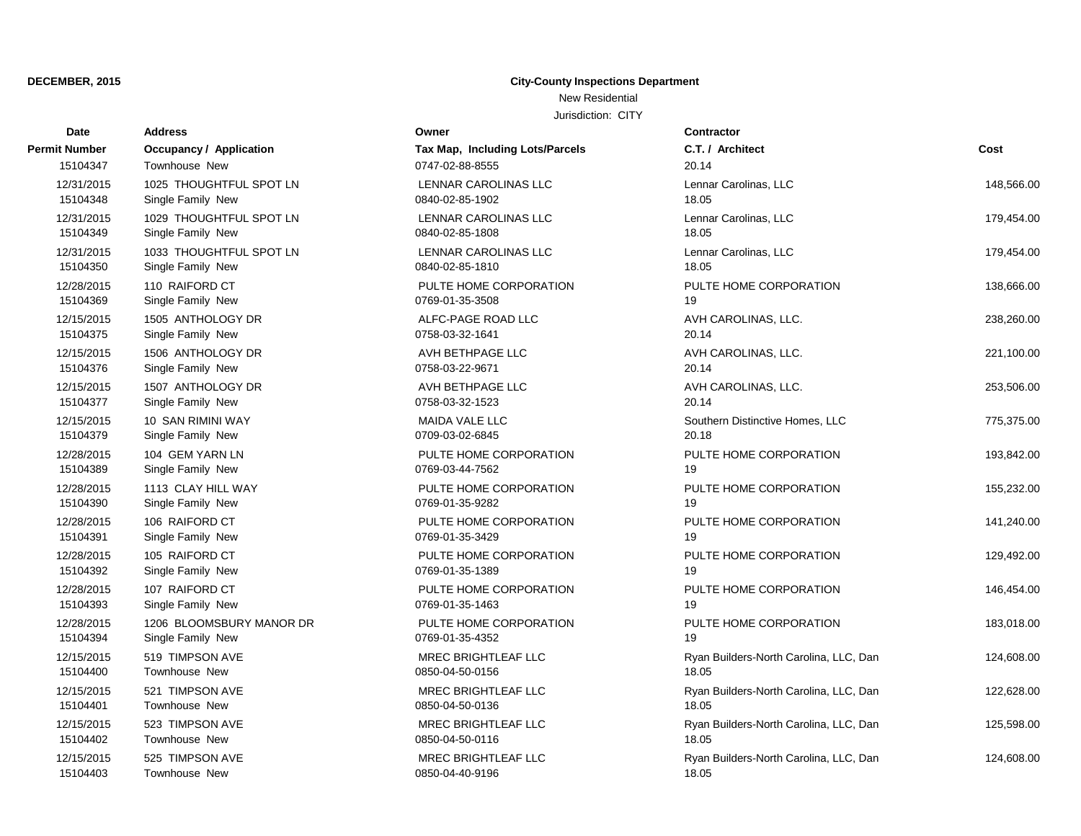### **DECEMBER, 2015 City-County Inspections Department** New Residential

| Date          | <b>Address</b>                 | Owner                           | <b>Contractor</b>                      |            |
|---------------|--------------------------------|---------------------------------|----------------------------------------|------------|
| Permit Number | <b>Occupancy / Application</b> | Tax Map, Including Lots/Parcels | C.T. / Architect                       | Cost       |
| 15104347      | <b>Townhouse New</b>           | 0747-02-88-8555                 | 20.14                                  |            |
| 12/31/2015    | 1025 THOUGHTFUL SPOT LN        | <b>LENNAR CAROLINAS LLC</b>     | Lennar Carolinas, LLC                  | 148,566.00 |
| 15104348      | Single Family New              | 0840-02-85-1902                 | 18.05                                  |            |
| 12/31/2015    | 1029 THOUGHTFUL SPOT LN        | <b>LENNAR CAROLINAS LLC</b>     | Lennar Carolinas, LLC                  | 179,454.00 |
| 15104349      | Single Family New              | 0840-02-85-1808                 | 18.05                                  |            |
| 12/31/2015    | 1033 THOUGHTFUL SPOT LN        | LENNAR CAROLINAS LLC            | Lennar Carolinas, LLC                  | 179,454.00 |
| 15104350      | Single Family New              | 0840-02-85-1810                 | 18.05                                  |            |
| 12/28/2015    | 110 RAIFORD CT                 | PULTE HOME CORPORATION          | PULTE HOME CORPORATION                 | 138,666.00 |
| 15104369      | Single Family New              | 0769-01-35-3508                 | 19                                     |            |
| 12/15/2015    | 1505 ANTHOLOGY DR              | ALFC-PAGE ROAD LLC              | AVH CAROLINAS, LLC.                    | 238,260.00 |
| 15104375      | Single Family New              | 0758-03-32-1641                 | 20.14                                  |            |
| 12/15/2015    | 1506 ANTHOLOGY DR              | AVH BETHPAGE LLC                | AVH CAROLINAS, LLC.                    | 221,100.00 |
| 15104376      | Single Family New              | 0758-03-22-9671                 | 20.14                                  |            |
| 12/15/2015    | 1507 ANTHOLOGY DR              | AVH BETHPAGE LLC                | AVH CAROLINAS, LLC.                    | 253,506.00 |
| 15104377      | Single Family New              | 0758-03-32-1523                 | 20.14                                  |            |
| 12/15/2015    | 10 SAN RIMINI WAY              | MAIDA VALE LLC                  | Southern Distinctive Homes, LLC        | 775,375.00 |
| 15104379      | Single Family New              | 0709-03-02-6845                 | 20.18                                  |            |
| 12/28/2015    | 104 GEM YARN LN                | PULTE HOME CORPORATION          | PULTE HOME CORPORATION                 | 193,842.00 |
| 15104389      | Single Family New              | 0769-03-44-7562                 | 19                                     |            |
| 12/28/2015    | 1113 CLAY HILL WAY             | PULTE HOME CORPORATION          | PULTE HOME CORPORATION                 | 155,232.00 |
| 15104390      | Single Family New              | 0769-01-35-9282                 | 19                                     |            |
| 12/28/2015    | 106 RAIFORD CT                 | PULTE HOME CORPORATION          | PULTE HOME CORPORATION                 | 141,240.00 |
| 15104391      | Single Family New              | 0769-01-35-3429                 | 19                                     |            |
| 12/28/2015    | 105 RAIFORD CT                 | PULTE HOME CORPORATION          | PULTE HOME CORPORATION                 | 129,492.00 |
| 15104392      | Single Family New              | 0769-01-35-1389                 | 19                                     |            |
| 12/28/2015    | 107 RAIFORD CT                 | PULTE HOME CORPORATION          | PULTE HOME CORPORATION                 | 146,454.00 |
| 15104393      | Single Family New              | 0769-01-35-1463                 | 19                                     |            |
| 12/28/2015    | 1206 BLOOMSBURY MANOR DR       | PULTE HOME CORPORATION          | PULTE HOME CORPORATION                 | 183,018.00 |
| 15104394      | Single Family New              | 0769-01-35-4352                 | 19                                     |            |
| 12/15/2015    | 519 TIMPSON AVE                | <b>MREC BRIGHTLEAF LLC</b>      | Ryan Builders-North Carolina, LLC, Dan | 124,608.00 |
| 15104400      | <b>Townhouse New</b>           | 0850-04-50-0156                 | 18.05                                  |            |
| 12/15/2015    | 521 TIMPSON AVE                | MREC BRIGHTLEAF LLC             | Ryan Builders-North Carolina, LLC, Dan | 122,628.00 |
| 15104401      | Townhouse New                  | 0850-04-50-0136                 | 18.05                                  |            |
| 12/15/2015    | 523 TIMPSON AVE                | MREC BRIGHTLEAF LLC             | Ryan Builders-North Carolina, LLC, Dan | 125,598.00 |
| 15104402      | <b>Townhouse New</b>           | 0850-04-50-0116                 | 18.05                                  |            |
| 12/15/2015    | 525 TIMPSON AVE                | MREC BRIGHTLEAF LLC             | Ryan Builders-North Carolina, LLC, Dan | 124,608.00 |
| 15104403      | Townhouse New                  | 0850-04-40-9196                 | 18.05                                  |            |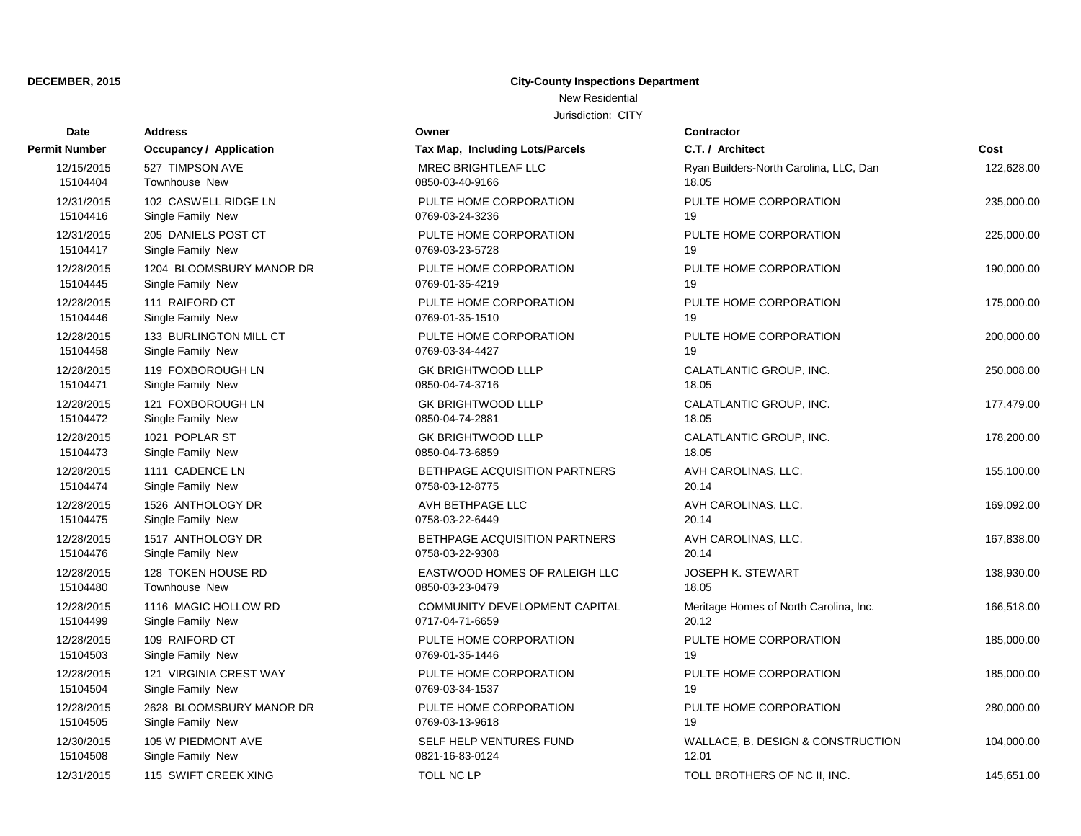### **DECEMBER, 2015 City-County Inspections Department** New Residential

Jurisdiction: CITY

| Date                 | <b>Address</b>                 | Owner                           | <b>Contractor</b> |
|----------------------|--------------------------------|---------------------------------|-------------------|
| <b>Permit Number</b> | <b>Occupancy / Application</b> | Tax Map, Including Lots/Parcels | C.T. / Arch       |
| 12/15/2015           | 527 TIMPSON AVE                | MREC BRIGHTLEAF LLC             | Ryan Build        |
| 15104404             | <b>Townhouse New</b>           | 0850-03-40-9166                 | 18.05             |
| 12/31/2015           | 102 CASWELL RIDGE LN           | PULTE HOME CORPORATION          | PULTE HO          |
| 15104416             | Single Family New              | 0769-03-24-3236                 | 19                |
| 12/31/2015           | 205 DANIELS POST CT            | PULTE HOME CORPORATION          | PULTE HO          |
| 15104417             | Single Family New              | 0769-03-23-5728                 | 19                |
| 12/28/2015           | 1204 BLOOMSBURY MANOR DR       | PULTE HOME CORPORATION          | PULTE HO          |
| 15104445             | Single Family New              | 0769-01-35-4219                 | 19                |
| 12/28/2015           | 111 RAIFORD CT                 | PULTE HOME CORPORATION          | PULTE HO          |
| 15104446             | Single Family New              | 0769-01-35-1510                 | 19                |
| 12/28/2015           | 133 BURLINGTON MILL CT         | PULTE HOME CORPORATION          | PULTE HO          |
| 15104458             | Single Family New              | 0769-03-34-4427                 | 19                |
| 12/28/2015           | 119 FOXBOROUGH LN              | <b>GK BRIGHTWOOD LLLP</b>       | CALATLAN          |
| 15104471             | Single Family New              | 0850-04-74-3716                 | 18.05             |
| 12/28/2015           | 121 FOXBOROUGH LN              | <b>GK BRIGHTWOOD LLLP</b>       | CALATLAN          |
| 15104472             | Single Family New              | 0850-04-74-2881                 | 18.05             |
| 12/28/2015           | 1021 POPLAR ST                 | <b>GK BRIGHTWOOD LLLP</b>       | CALATLAN          |
| 15104473             | Single Family New              | 0850-04-73-6859                 | 18.05             |
| 12/28/2015           | 1111 CADENCE LN                | BETHPAGE ACQUISITION PARTNERS   | <b>AVH CARC</b>   |
| 15104474             | Single Family New              | 0758-03-12-8775                 | 20.14             |
| 12/28/2015           | 1526 ANTHOLOGY DR              | AVH BETHPAGE LLC                | <b>AVH CARC</b>   |
| 15104475             | Single Family New              | 0758-03-22-6449                 | 20.14             |
| 12/28/2015           | 1517 ANTHOLOGY DR              | BETHPAGE ACQUISITION PARTNERS   | <b>AVH CARC</b>   |
| 15104476             | Single Family New              | 0758-03-22-9308                 | 20.14             |
| 12/28/2015           | 128 TOKEN HOUSE RD             | EASTWOOD HOMES OF RALEIGH LLC   | <b>JOSEPH K</b>   |
| 15104480             | Townhouse New                  | 0850-03-23-0479                 | 18.05             |
| 12/28/2015           | 1116 MAGIC HOLLOW RD           | COMMUNITY DEVELOPMENT CAPITAL   | Meritage He       |
| 15104499             | Single Family New              | 0717-04-71-6659                 | 20.12             |
| 12/28/2015           | 109 RAIFORD CT                 | PULTE HOME CORPORATION          | PULTE HO          |
| 15104503             | Single Family New              | 0769-01-35-1446                 | 19                |
| 12/28/2015           | 121 VIRGINIA CREST WAY         | PULTE HOME CORPORATION          | PULTE HO          |
| 15104504             | Single Family New              | 0769-03-34-1537                 | 19                |
| 12/28/2015           | 2628 BLOOMSBURY MANOR DR       | PULTE HOME CORPORATION          | PULTE HO          |
| 15104505             | Single Family New              | 0769-03-13-9618                 | 19                |
| 12/30/2015           | 105 W PIEDMONT AVE             | SELF HELP VENTURES FUND         | WALLACE,          |
| 15104508             | Single Family New              | 0821-16-83-0124                 | 12.01             |
| 12/31/2015           | 115 SWIFT CREEK XING           | <b>TOLL NC LP</b>               | <b>TOLL BRO</b>   |

| it Number  | Occupancy / Application  | Tax Map, Including Lots/Parcels | C.T. / Architect                       | Cost       |
|------------|--------------------------|---------------------------------|----------------------------------------|------------|
| 12/15/2015 | 527 TIMPSON AVE          | MREC BRIGHTLEAF LLC             | Ryan Builders-North Carolina, LLC, Dan | 122,628.00 |
| 15104404   | <b>Townhouse New</b>     | 0850-03-40-9166                 | 18.05                                  |            |
| 12/31/2015 | 102 CASWELL RIDGE LN     | PULTE HOME CORPORATION          | PULTE HOME CORPORATION                 | 235,000.00 |
| 15104416   | Single Family New        | 0769-03-24-3236                 | 19                                     |            |
| 12/31/2015 | 205 DANIELS POST CT      | PULTE HOME CORPORATION          | PULTE HOME CORPORATION                 | 225,000.00 |
| 15104417   | Single Family New        | 0769-03-23-5728                 | 19                                     |            |
| 12/28/2015 | 1204 BLOOMSBURY MANOR DR | PULTE HOME CORPORATION          | PULTE HOME CORPORATION                 | 190,000.00 |
| 15104445   | Single Family New        | 0769-01-35-4219                 | 19                                     |            |
| 12/28/2015 | 111 RAIFORD CT           | PULTE HOME CORPORATION          | PULTE HOME CORPORATION                 | 175,000.00 |
| 15104446   | Single Family New        | 0769-01-35-1510                 | 19                                     |            |
| 12/28/2015 | 133 BURLINGTON MILL CT   | PULTE HOME CORPORATION          | PULTE HOME CORPORATION                 | 200,000.00 |
| 15104458   | Single Family New        | 0769-03-34-4427                 | 19                                     |            |
| 12/28/2015 | 119 FOXBOROUGH LN        | <b>GK BRIGHTWOOD LLLP</b>       | CALATLANTIC GROUP, INC.                | 250,008.00 |
| 15104471   | Single Family New        | 0850-04-74-3716                 | 18.05                                  |            |
| 12/28/2015 | 121 FOXBOROUGH LN        | <b>GK BRIGHTWOOD LLLP</b>       | CALATLANTIC GROUP, INC.                | 177,479.00 |
| 15104472   | Single Family New        | 0850-04-74-2881                 | 18.05                                  |            |
| 12/28/2015 | 1021 POPLAR ST           | <b>GK BRIGHTWOOD LLLP</b>       | CALATLANTIC GROUP, INC.                | 178,200.00 |
| 15104473   | Single Family New        | 0850-04-73-6859                 | 18.05                                  |            |
| 12/28/2015 | 1111 CADENCE LN          | BETHPAGE ACQUISITION PARTNERS   | AVH CAROLINAS, LLC.                    | 155,100.00 |
| 15104474   | Single Family New        | 0758-03-12-8775                 | 20.14                                  |            |
| 12/28/2015 | 1526 ANTHOLOGY DR        | AVH BETHPAGE LLC                | AVH CAROLINAS, LLC.                    | 169,092.00 |
| 15104475   | Single Family New        | 0758-03-22-6449                 | 20.14                                  |            |
| 12/28/2015 | 1517 ANTHOLOGY DR        | BETHPAGE ACQUISITION PARTNERS   | AVH CAROLINAS, LLC.                    | 167,838.00 |
| 15104476   | Single Family New        | 0758-03-22-9308                 | 20.14                                  |            |
| 12/28/2015 | 128 TOKEN HOUSE RD       | EASTWOOD HOMES OF RALEIGH LLC   | <b>JOSEPH K. STEWART</b>               | 138,930.00 |
| 15104480   | <b>Townhouse New</b>     | 0850-03-23-0479                 | 18.05                                  |            |
| 12/28/2015 | 1116 MAGIC HOLLOW RD     | COMMUNITY DEVELOPMENT CAPITAL   | Meritage Homes of North Carolina, Inc. | 166,518.00 |
| 15104499   | Single Family New        | 0717-04-71-6659                 | 20.12                                  |            |
| 12/28/2015 | 109 RAIFORD CT           | PULTE HOME CORPORATION          | PULTE HOME CORPORATION                 | 185,000.00 |
| 15104503   | Single Family New        | 0769-01-35-1446                 | 19                                     |            |
| 12/28/2015 | 121 VIRGINIA CREST WAY   | PULTE HOME CORPORATION          | PULTE HOME CORPORATION                 | 185,000.00 |
| 15104504   | Single Family New        | 0769-03-34-1537                 | 19                                     |            |
| 12/28/2015 | 2628 BLOOMSBURY MANOR DR | PULTE HOME CORPORATION          | PULTE HOME CORPORATION                 | 280,000.00 |
| 15104505   | Single Family New        | 0769-03-13-9618                 | 19                                     |            |
| 12/30/2015 | 105 W PIEDMONT AVE       | SELF HELP VENTURES FUND         | WALLACE, B. DESIGN & CONSTRUCTION      | 104,000.00 |
| 15104508   | Single Family New        | 0821-16-83-0124                 | 12.01                                  |            |
| 12/31/2015 | 115 SWIFT CREEK XING     | TOLL NC LP                      | TOLL BROTHERS OF NC II, INC.           | 145,651.00 |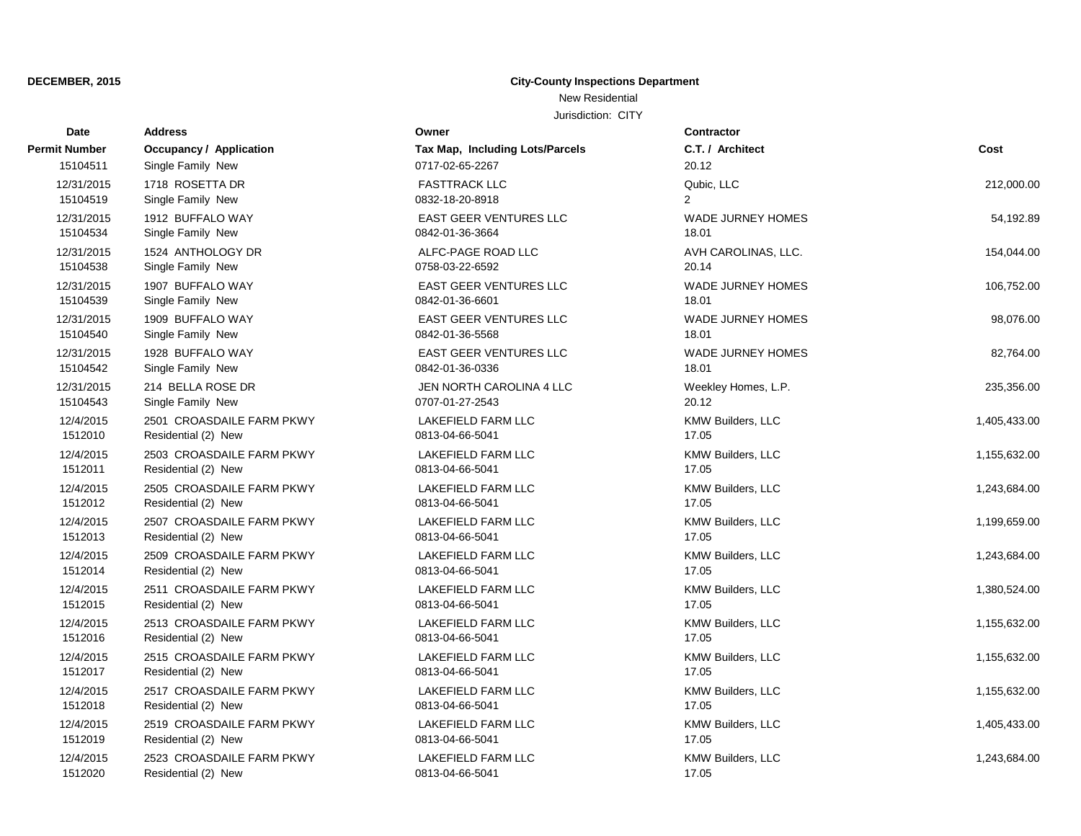### **DECEMBER, 2015 City-County Inspections Department** New Residential

| Date                 | <b>Address</b>                                   | Owner                                        | <b>Contractor</b>          |              |
|----------------------|--------------------------------------------------|----------------------------------------------|----------------------------|--------------|
| Permit Number        | <b>Occupancy / Application</b>                   | Tax Map, Including Lots/Parcels              | C.T. / Architect           | Cost         |
| 15104511             | Single Family New                                | 0717-02-65-2267                              | 20.12                      |              |
| 12/31/2015           | 1718 ROSETTA DR                                  | <b>FASTTRACK LLC</b>                         | Qubic, LLC                 | 212,000.00   |
| 15104519             | Single Family New                                | 0832-18-20-8918                              | $\overline{2}$             |              |
| 12/31/2015           | 1912 BUFFALO WAY                                 | <b>EAST GEER VENTURES LLC</b>                | <b>WADE JURNEY HOMES</b>   | 54,192.89    |
| 15104534             | Single Family New                                | 0842-01-36-3664                              | 18.01                      |              |
| 12/31/2015           | 1524 ANTHOLOGY DR                                | ALFC-PAGE ROAD LLC                           | AVH CAROLINAS, LLC.        | 154,044.00   |
| 15104538             | Single Family New                                | 0758-03-22-6592                              | 20.14                      |              |
| 12/31/2015           | 1907 BUFFALO WAY                                 | <b>EAST GEER VENTURES LLC</b>                | <b>WADE JURNEY HOMES</b>   | 106,752.00   |
| 15104539             | Single Family New                                | 0842-01-36-6601                              | 18.01                      |              |
| 12/31/2015           | 1909 BUFFALO WAY                                 | <b>EAST GEER VENTURES LLC</b>                | <b>WADE JURNEY HOMES</b>   | 98,076.00    |
| 15104540             | Single Family New                                | 0842-01-36-5568                              | 18.01                      |              |
| 12/31/2015           | 1928 BUFFALO WAY                                 | <b>EAST GEER VENTURES LLC</b>                | <b>WADE JURNEY HOMES</b>   | 82,764.00    |
| 15104542             | Single Family New                                | 0842-01-36-0336                              | 18.01                      |              |
| 12/31/2015           | 214 BELLA ROSE DR                                | JEN NORTH CAROLINA 4 LLC                     | Weekley Homes, L.P.        | 235,356.00   |
| 15104543             | Single Family New                                | 0707-01-27-2543                              | 20.12                      |              |
| 12/4/2015            | 2501 CROASDAILE FARM PKWY                        | LAKEFIELD FARM LLC                           | KMW Builders, LLC          | 1,405,433.00 |
| 1512010              | Residential (2) New                              | 0813-04-66-5041                              | 17.05                      |              |
| 12/4/2015<br>1512011 | 2503 CROASDAILE FARM PKWY                        | <b>LAKEFIELD FARM LLC</b>                    | KMW Builders, LLC          | 1,155,632.00 |
|                      | Residential (2) New                              | 0813-04-66-5041                              | 17.05                      |              |
| 12/4/2015<br>1512012 | 2505 CROASDAILE FARM PKWY<br>Residential (2) New | <b>LAKEFIELD FARM LLC</b><br>0813-04-66-5041 | KMW Builders, LLC<br>17.05 | 1,243,684.00 |
|                      |                                                  |                                              |                            |              |
| 12/4/2015<br>1512013 | 2507 CROASDAILE FARM PKWY<br>Residential (2) New | LAKEFIELD FARM LLC<br>0813-04-66-5041        | KMW Builders, LLC<br>17.05 | 1,199,659.00 |
| 12/4/2015            | 2509 CROASDAILE FARM PKWY                        | <b>LAKEFIELD FARM LLC</b>                    | KMW Builders, LLC          | 1,243,684.00 |
| 1512014              | Residential (2) New                              | 0813-04-66-5041                              | 17.05                      |              |
| 12/4/2015            | 2511 CROASDAILE FARM PKWY                        | <b>LAKEFIELD FARM LLC</b>                    | KMW Builders, LLC          | 1,380,524.00 |
| 1512015              | Residential (2) New                              | 0813-04-66-5041                              | 17.05                      |              |
| 12/4/2015            | 2513 CROASDAILE FARM PKWY                        | <b>LAKEFIELD FARM LLC</b>                    | KMW Builders, LLC          | 1,155,632.00 |
| 1512016              | Residential (2) New                              | 0813-04-66-5041                              | 17.05                      |              |
| 12/4/2015            | 2515 CROASDAILE FARM PKWY                        | LAKEFIELD FARM LLC                           | KMW Builders, LLC          | 1,155,632.00 |
| 1512017              | Residential (2) New                              | 0813-04-66-5041                              | 17.05                      |              |
| 12/4/2015            | 2517 CROASDAILE FARM PKWY                        | <b>LAKEFIELD FARM LLC</b>                    | KMW Builders, LLC          | 1,155,632.00 |
| 1512018              | Residential (2) New                              | 0813-04-66-5041                              | 17.05                      |              |
| 12/4/2015            | 2519 CROASDAILE FARM PKWY                        | <b>LAKEFIELD FARM LLC</b>                    | KMW Builders, LLC          | 1,405,433.00 |
| 1512019              | Residential (2) New                              | 0813-04-66-5041                              | 17.05                      |              |
| 12/4/2015            | 2523 CROASDAILE FARM PKWY                        | <b>LAKEFIELD FARM LLC</b>                    | KMW Builders, LLC          | 1,243,684.00 |
| 1512020              | Residential (2) New                              | 0813-04-66-5041                              | 17.05                      |              |